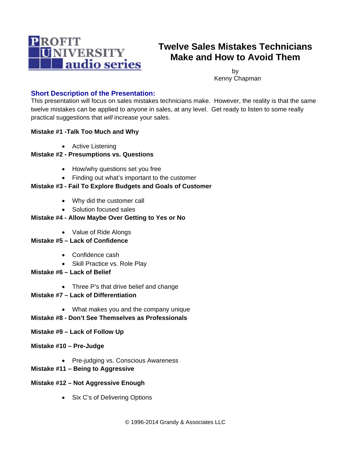

# **Twelve Sales Mistakes Technicians Make and How to Avoid Them**

by Kenny Chapman

# **Short Description of the Presentation:**

This presentation will focus on sales mistakes technicians make. However, the reality is that the same twelve mistakes can be applied to anyone in sales, at any level. Get ready to listen to some really practical suggestions that *will* increase your sales.

## **Mistake #1 -Talk Too Much and Why**

• Active Listening

## **Mistake #2 - Presumptions vs. Questions**

- How/why questions set you free
- Finding out what's important to the customer

# **Mistake #3 - Fail To Explore Budgets and Goals of Customer**

- Why did the customer call
- Solution focused sales

## **Mistake #4 - Allow Maybe Over Getting to Yes or No**

- Value of Ride Alongs
- **Mistake #5 Lack of Confidence** 
	- Confidence cash
	- Skill Practice vs. Role Play
- **Mistake #6 Lack of Belief** 
	- Three P's that drive belief and change
- **Mistake #7 Lack of Differentiation** 
	- What makes you and the company unique

#### **Mistake #8 - Don't See Themselves as Professionals**

- **Mistake #9 Lack of Follow Up**
- **Mistake #10 Pre-Judge** 
	- Pre-judging vs. Conscious Awareness
- **Mistake #11 Being to Aggressive**

#### **Mistake #12 – Not Aggressive Enough**

• Six C's of Delivering Options